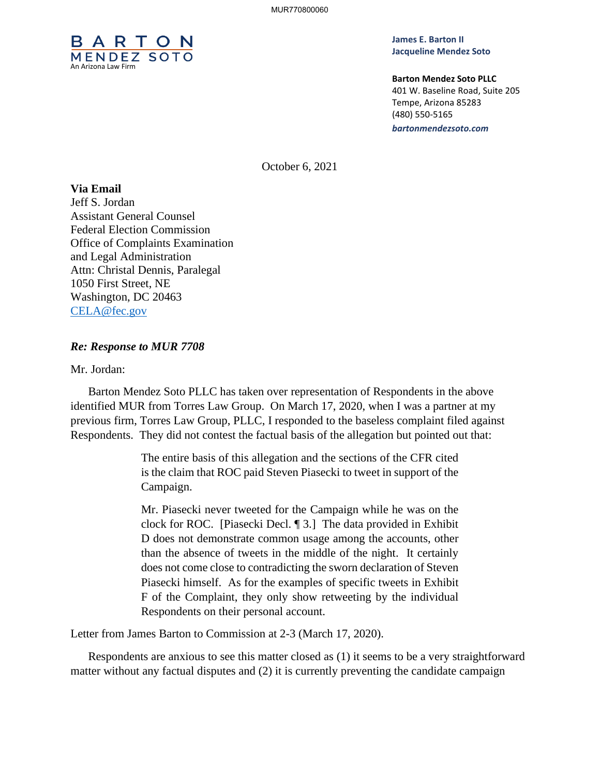

**James E. Barton II Jacqueline Mendez Soto**

**Barton Mendez Soto PLLC** 401 W. Baseline Road, Suite 205 Tempe, Arizona 85283 (480) 550-5165 *bartonmendezsoto.com*

October 6, 2021

## **Via Email**

Jeff S. Jordan Assistant General Counsel Federal Election Commission Office of Complaints Examination and Legal Administration Attn: Christal Dennis, Paralegal 1050 First Street, NE Washington, DC 20463 CELA@fec.gov

## *Re: Response to MUR 7708*

Mr. Jordan:

Barton Mendez Soto PLLC has taken over representation of Respondents in the above identified MUR from Torres Law Group. On March 17, 2020, when I was a partner at my previous firm, Torres Law Group, PLLC, I responded to the baseless complaint filed against Respondents. They did not contest the factual basis of the allegation but pointed out that:

> The entire basis of this allegation and the sections of the CFR cited is the claim that ROC paid Steven Piasecki to tweet in support of the Campaign.

> Mr. Piasecki never tweeted for the Campaign while he was on the clock for ROC. [Piasecki Decl. ¶ 3.] The data provided in Exhibit D does not demonstrate common usage among the accounts, other than the absence of tweets in the middle of the night. It certainly does not come close to contradicting the sworn declaration of Steven Piasecki himself. As for the examples of specific tweets in Exhibit F of the Complaint, they only show retweeting by the individual Respondents on their personal account.

Letter from James Barton to Commission at 2-3 (March 17, 2020).

Respondents are anxious to see this matter closed as (1) it seems to be a very straightforward matter without any factual disputes and (2) it is currently preventing the candidate campaign